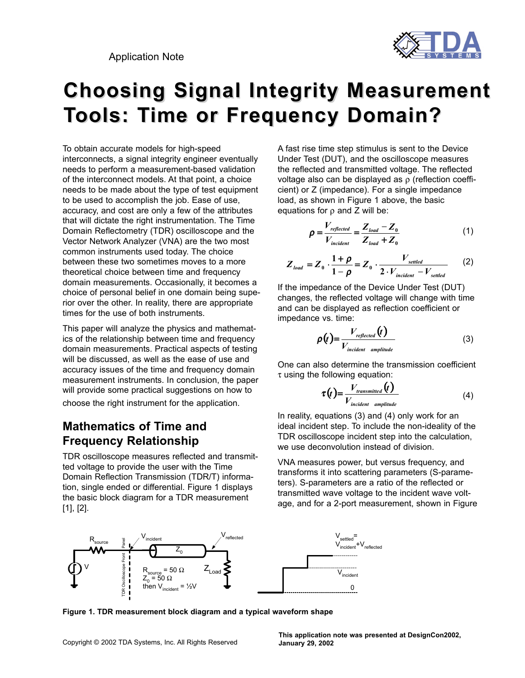Application Note



# **Choosing Signal Integrity Measurement Choosing Signal Integrity Measurement Tools: Time or Frequency Domain?**

To obtain accurate models for high-speed interconnects, a signal integrity engineer eventually needs to perform a measurement-based validation of the interconnect models. At that point, a choice needs to be made about the type of test equipment to be used to accomplish the job. Ease of use, accuracy, and cost are only a few of the attributes that will dictate the right instrumentation. The Time Domain Reflectometry (TDR) oscilloscope and the Vector Network Analyzer (VNA) are the two most common instruments used today. The choice between these two sometimes moves to a more theoretical choice between time and frequency domain measurements. Occasionally, it becomes a choice of personal belief in one domain being superior over the other. In reality, there are appropriate times for the use of both instruments.

This paper will analyze the physics and mathematics of the relationship between time and frequency domain measurements. Practical aspects of testing will be discussed, as well as the ease of use and accuracy issues of the time and frequency domain measurement instruments. In conclusion, the paper will provide some practical suggestions on how to choose the right instrument for the application.

### **Mathematics of Time and Frequency Relationship**

TDR oscilloscope measures reflected and transmitted voltage to provide the user with the Time Domain Reflection Transmission (TDR/T) information, single ended or differential. Figure 1 displays the basic block diagram for a TDR measurement [1], [2].

A fast rise time step stimulus is sent to the Device Under Test (DUT), and the oscilloscope measures the reflected and transmitted voltage. The reflected voltage also can be displayed as ρ (reflection coefficient) or Z (impedance). For a single impedance load, as shown in Figure 1 above, the basic equations for ρ and Z will be:

$$
\rho = \frac{V_{reflected}}{V_{incident}} = \frac{Z_{load} - Z_0}{Z_{load} + Z_0}
$$
(1)

$$
Z_{load} = Z_0 \cdot \frac{1+\rho}{1-\rho} = Z_0 \cdot \frac{V_{settled}}{2 \cdot V_{incident} - V_{settled}} \qquad (2)
$$

If the impedance of the Device Under Test (DUT) changes, the reflected voltage will change with time and can be displayed as reflection coefficient or impedance vs. time:

$$
\rho(t) = \frac{V_{reflected}(t)}{V_{incident amplitude}}
$$
\n(3)

One can also determine the transmission coefficient  $\tau$  using the following equation:

$$
\tau(t) = \frac{V_{transmitted}(t)}{V_{incident amplitude}}
$$
\n(4)

In reality, equations (3) and (4) only work for an ideal incident step. To include the non-ideality of the TDR oscilloscope incident step into the calculation, we use deconvolution instead of division.

VNA measures power, but versus frequency, and transforms it into scattering parameters (S-parameters). S-parameters are a ratio of the reflected or transmitted wave voltage to the incident wave voltage, and for a 2-port measurement, shown in Figure



**Figure 1. TDR measurement block diagram and a typical waveform shape**

**This application note was presented at DesignCon2002, January 29, 2002**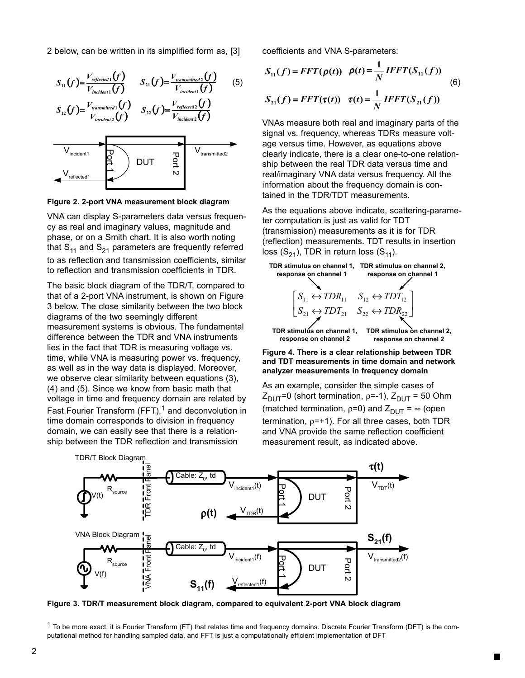2 below, can be written in its simplified form as, [3]



**Figure 2. 2-port VNA measurement block diagram**

VNA can display S-parameters data versus frequency as real and imaginary values, magnitude and phase, or on a Smith chart. It is also worth noting that  $S_{11}$  and  $S_{21}$  parameters are frequently referred to as reflection and transmission coefficients, similar to reflection and transmission coefficients in TDR.

The basic block diagram of the TDR/T, compared to that of a 2-port VNA instrument, is shown on Figure 3 below. The close similarity between the two block diagrams of the two seemingly different measurement systems is obvious. The fundamental difference between the TDR and VNA instruments lies in the fact that TDR is measuring voltage vs. time, while VNA is measuring power vs. frequency, as well as in the way data is displayed. Moreover, we observe clear similarity between equations (3), (4) and (5). Since we know from basic math that voltage in time and frequency domain are related by Fast Fourier Transform  $(FFT)$ ,<sup>1</sup> and deconvolution in time domain corresponds to division in frequency domain, we can easily see that there is a relationship between the TDR reflection and transmission

coefficients and VNA S-parameters:

$$
S_{11}(f) = FFT(\rho(t)) \quad \rho(t) = \frac{1}{N} IFFT(S_{11}(f))
$$
\n
$$
S_{21}(f) = FFT(\tau(t)) \quad \tau(t) = \frac{1}{N} IFFT(S_{21}(f))
$$
\n(6)

VNAs measure both real and imaginary parts of the signal vs. frequency, whereas TDRs measure voltage versus time. However, as equations above clearly indicate, there is a clear one-to-one relationship between the real TDR data versus time and real/imaginary VNA data versus frequency. All the information about the frequency domain is contained in the TDR/TDT measurements.

As the equations above indicate, scattering-parameter computation is just as valid for TDT (transmission) measurements as it is for TDR (reflection) measurements. TDT results in insertion loss  $(S_{21})$ , TDR in return loss  $(S_{11})$ .



**Figure 4. There is a clear relationship between TDR and TDT measurements in time domain and network analyzer measurements in frequency domain**

As an example, consider the simple cases of  $Z_{\text{DUT}}$ =0 (short termination, ρ=-1),  $Z_{\text{DUT}}$  = 50 Ohm (matched termination,  $p=0$ ) and  $Z_{\text{DUT}} = \infty$  (open termination, ρ=+1). For all three cases, both TDR and VNA provide the same reflection coefficient measurement result, as indicated above.



**Figure 3. TDR/T measurement block diagram, compared to equivalent 2-port VNA block diagram**

 $1$  To be more exact, it is Fourier Transform (FT) that relates time and frequency domains. Discrete Fourier Transform (DFT) is the computational method for handling sampled data, and FFT is just a computationally efficient implementation of DFT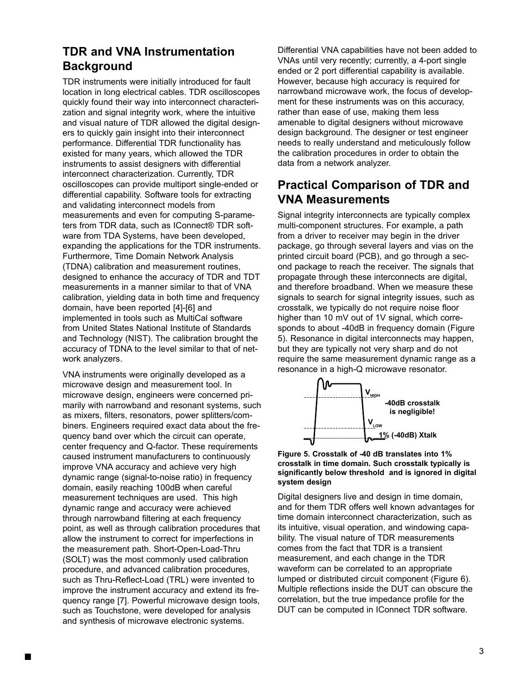## **TDR and VNA Instrumentation Background**

TDR instruments were initially introduced for fault location in long electrical cables. TDR oscilloscopes quickly found their way into interconnect characterization and signal integrity work, where the intuitive and visual nature of TDR allowed the digital designers to quickly gain insight into their interconnect performance. Differential TDR functionality has existed for many years, which allowed the TDR instruments to assist designers with differential interconnect characterization. Currently, TDR oscilloscopes can provide multiport single-ended or differential capability. Software tools for extracting and validating interconnect models from measurements and even for computing S-parameters from TDR data, such as IConnect® TDR software from TDA Systems, have been developed, expanding the applications for the TDR instruments. Furthermore, Time Domain Network Analysis (TDNA) calibration and measurement routines, designed to enhance the accuracy of TDR and TDT measurements in a manner similar to that of VNA calibration, yielding data in both time and frequency domain, have been reported [4]-[6] and implemented in tools such as MultiCal software from United States National Institute of Standards and Technology (NIST). The calibration brought the accuracy of TDNA to the level similar to that of network analyzers.

VNA instruments were originally developed as a microwave design and measurement tool. In microwave design, engineers were concerned primarily with narrowband and resonant systems, such as mixers, filters, resonators, power splitters/combiners. Engineers required exact data about the frequency band over which the circuit can operate, center frequency and Q-factor. These requirements caused instrument manufacturers to continuously improve VNA accuracy and achieve very high dynamic range (signal-to-noise ratio) in frequency domain, easily reaching 100dB when careful measurement techniques are used. This high dynamic range and accuracy were achieved through narrowband filtering at each frequency point, as well as through calibration procedures that allow the instrument to correct for imperfections in the measurement path. Short-Open-Load-Thru (SOLT) was the most commonly used calibration procedure, and advanced calibration procedures, such as Thru-Reflect-Load (TRL) were invented to improve the instrument accuracy and extend its frequency range [7]. Powerful microwave design tools, such as Touchstone, were developed for analysis and synthesis of microwave electronic systems.

Differential VNA capabilities have not been added to VNAs until very recently; currently, a 4-port single ended or 2 port differential capability is available. However, because high accuracy is required for narrowband microwave work, the focus of development for these instruments was on this accuracy, rather than ease of use, making them less amenable to digital designers without microwave design background. The designer or test engineer needs to really understand and meticulously follow the calibration procedures in order to obtain the data from a network analyzer.

# **Practical Comparison of TDR and VNA Measurements**

Signal integrity interconnects are typically complex multi-component structures. For example, a path from a driver to receiver may begin in the driver package, go through several layers and vias on the printed circuit board (PCB), and go through a second package to reach the receiver. The signals that propagate through these interconnects are digital, and therefore broadband. When we measure these signals to search for signal integrity issues, such as crosstalk, we typically do not require noise floor higher than 10 mV out of 1V signal, which corresponds to about -40dB in frequency domain (Figure 5). Resonance in digital interconnects may happen, but they are typically not very sharp and do not require the same measurement dynamic range as a resonance in a high-Q microwave resonator.



#### **Figure 5. Crosstalk of -40 dB translates into 1% crosstalk in time domain. Such crosstalk typically is significantly below threshold and is ignored in digital system design**

Digital designers live and design in time domain, and for them TDR offers well known advantages for time domain interconnect characterization, such as its intuitive, visual operation, and windowing capability. The visual nature of TDR measurements comes from the fact that TDR is a transient measurement, and each change in the TDR waveform can be correlated to an appropriate lumped or distributed circuit component (Figure 6). Multiple reflections inside the DUT can obscure the correlation, but the true impedance profile for the DUT can be computed in IConnect TDR software.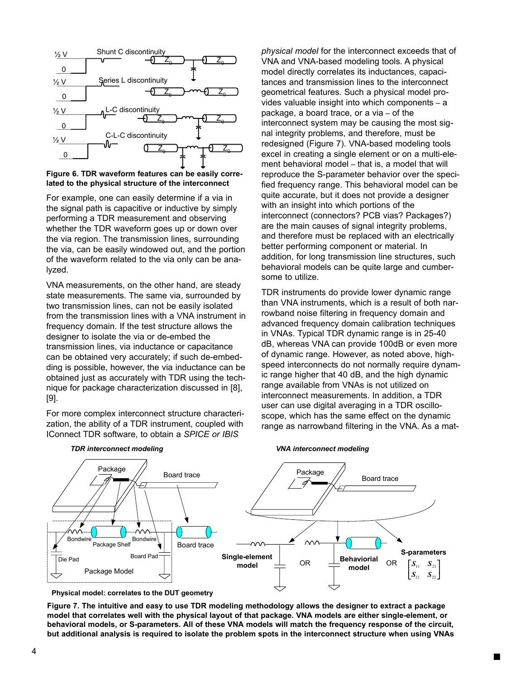

**Figure 6. TDR waveform features can be easily correlated to the physical structure of the interconnect**

For example, one can easily determine if a via in the signal path is capacitive or inductive by simply performing a TDR measurement and observing whether the TDR waveform goes up or down over the via region. The transmission lines, surrounding the via, can be easily windowed out, and the portion of the waveform related to the via only can be analyzed.

VNA measurements, on the other hand, are steady state measurements. The same via, surrounded by two transmission lines, can not be easily isolated from the transmission lines with a VNA instrument in frequency domain. If the test structure allows the designer to isolate the via or de-embed the transmission lines, via inductance or capacitance can be obtained very accurately; if such de-embedding is possible, however, the via inductance can be obtained just as accurately with TDR using the technique for package characterization discussed in [8], [9].

For more complex interconnect structure characterization, the ability of a TDR instrument, coupled with IConnect TDR software, to obtain a *SPICE or IBIS*

*physical model* for the interconnect exceeds that of VNA and VNA-based modeling tools. A physical model directly correlates its inductances, capacitances and transmission lines to the interconnect geometrical features. Such a physical model provides valuable insight into which components – a package, a board trace, or a via – of the interconnect system may be causing the most signal integrity problems, and therefore, must be redesigned (Figure 7). VNA-based modeling tools excel in creating a single element or on a multi-element behavioral model – that is, a model that will reproduce the S-parameter behavior over the specified frequency range. This behavioral model can be quite accurate, but it does not provide a designer with an insight into which portions of the interconnect (connectors? PCB vias? Packages?) are the main causes of signal integrity problems, and therefore must be replaced with an electrically better performing component or material. In addition, for long transmission line structures, such behavioral models can be quite large and cumbersome to utilize.

TDR instruments do provide lower dynamic range than VNA instruments, which is a result of both narrowband noise filtering in frequency domain and advanced frequency domain calibration techniques in VNAs. Typical TDR dynamic range is in 25-40 dB, whereas VNA can provide 100dB or even more of dynamic range. However, as noted above, highspeed interconnects do not normally require dynamic range higher that 40 dB, and the high dynamic range available from VNAs is not utilized on interconnect measurements. In addition, a TDR user can use digital averaging in a TDR oscilloscope, which has the same effect on the dynamic range as narrowband filtering in the VNA. As a mat-

*VNA interconnect modeling*





**Physical model: correlates to the DUT geometry**

**Figure 7. The intuitive and easy to use TDR modeling methodology allows the designer to extract a package model that correlates well with the physical layout of that package. VNA models are either single-element, or behavioral models, or S-parameters. All of these VNA models will match the frequency response of the circuit, but additional analysis is required to isolate the problem spots in the interconnect structure when using VNAs**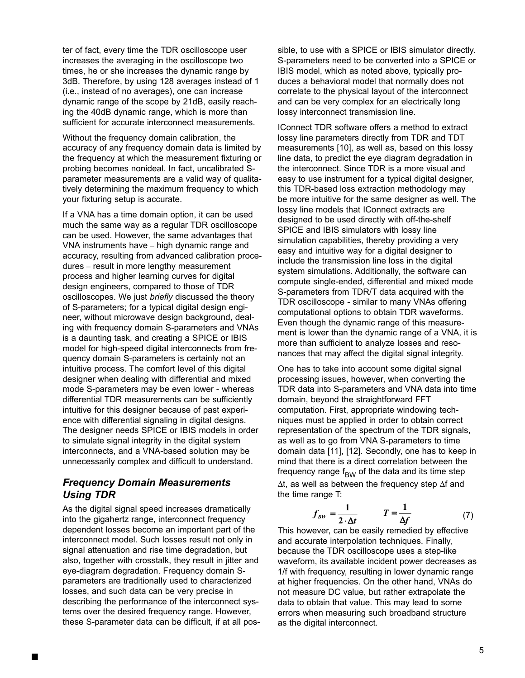ter of fact, every time the TDR oscilloscope user increases the averaging in the oscilloscope two times, he or she increases the dynamic range by 3dB. Therefore, by using 128 averages instead of 1 (i.e., instead of no averages), one can increase dynamic range of the scope by 21dB, easily reaching the 40dB dynamic range, which is more than sufficient for accurate interconnect measurements.

Without the frequency domain calibration, the accuracy of any frequency domain data is limited by the frequency at which the measurement fixturing or probing becomes nonideal. In fact, uncalibrated Sparameter measurements are a valid way of qualitatively determining the maximum frequency to which your fixturing setup is accurate.

If a VNA has a time domain option, it can be used much the same way as a regular TDR oscilloscope can be used. However, the same advantages that VNA instruments have – high dynamic range and accuracy, resulting from advanced calibration procedures – result in more lengthy measurement process and higher learning curves for digital design engineers, compared to those of TDR oscilloscopes. We just *briefly* discussed the theory of S-parameters; for a typical digital design engineer, without microwave design background, dealing with frequency domain S-parameters and VNAs is a daunting task, and creating a SPICE or IBIS model for high-speed digital interconnects from frequency domain S-parameters is certainly not an intuitive process. The comfort level of this digital designer when dealing with differential and mixed mode S-parameters may be even lower - whereas differential TDR measurements can be sufficiently intuitive for this designer because of past experience with differential signaling in digital designs. The designer needs SPICE or IBIS models in order to simulate signal integrity in the digital system interconnects, and a VNA-based solution may be unnecessarily complex and difficult to understand.

### *Frequency Domain Measurements Using TDR*

As the digital signal speed increases dramatically into the gigahertz range, interconnect frequency dependent losses become an important part of the interconnect model. Such losses result not only in signal attenuation and rise time degradation, but also, together with crosstalk, they result in jitter and eye-diagram degradation. Frequency domain Sparameters are traditionally used to characterized losses, and such data can be very precise in describing the performance of the interconnect systems over the desired frequency range. However, these S-parameter data can be difficult, if at all possible, to use with a SPICE or IBIS simulator directly. S-parameters need to be converted into a SPICE or IBIS model, which as noted above, typically produces a behavioral model that normally does not correlate to the physical layout of the interconnect and can be very complex for an electrically long lossy interconnect transmission line.

IConnect TDR software offers a method to extract lossy line parameters directly from TDR and TDT measurements [10], as well as, based on this lossy line data, to predict the eye diagram degradation in the interconnect. Since TDR is a more visual and easy to use instrument for a typical digital designer, this TDR-based loss extraction methodology may be more intuitive for the same designer as well. The lossy line models that IConnect extracts are designed to be used directly with off-the-shelf SPICE and IBIS simulators with lossy line simulation capabilities, thereby providing a very easy and intuitive way for a digital designer to include the transmission line loss in the digital system simulations. Additionally, the software can compute single-ended, differential and mixed mode S-parameters from TDR/T data acquired with the TDR oscilloscope - similar to many VNAs offering computational options to obtain TDR waveforms. Even though the dynamic range of this measurement is lower than the dynamic range of a VNA, it is more than sufficient to analyze losses and resonances that may affect the digital signal integrity.

One has to take into account some digital signal processing issues, however, when converting the TDR data into S-parameters and VNA data into time domain, beyond the straightforward FFT computation. First, appropriate windowing techniques must be applied in order to obtain correct representation of the spectrum of the TDR signals, as well as to go from VNA S-parameters to time domain data [11], [12]. Secondly, one has to keep in mind that there is a direct correlation between the frequency range  $f<sub>BW</sub>$  of the data and its time step ∆t, as well as between the frequency step ∆f and the time range T:

$$
f_{BW} = \frac{1}{2 \cdot \Delta t} \qquad T = \frac{1}{\Delta f} \tag{7}
$$

This however, can be easily remedied by effective and accurate interpolation techniques. Finally, because the TDR oscilloscope uses a step-like waveform, its available incident power decreases as 1/f with frequency, resulting in lower dynamic range at higher frequencies. On the other hand, VNAs do not measure DC value, but rather extrapolate the data to obtain that value. This may lead to some errors when measuring such broadband structure as the digital interconnect.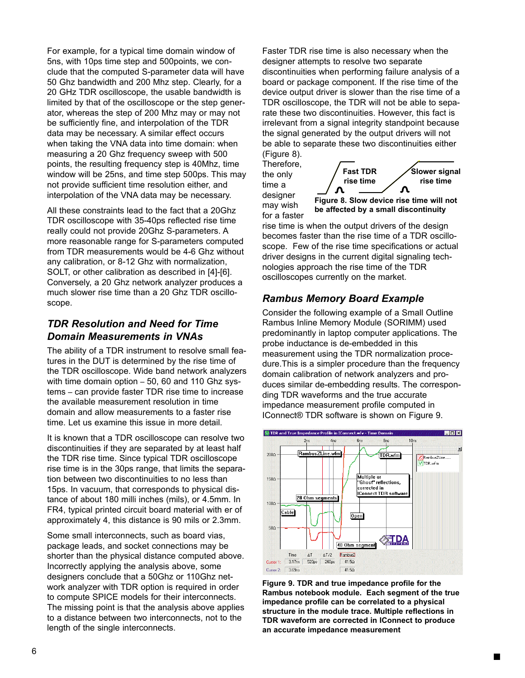For example, for a typical time domain window of 5ns, with 10ps time step and 500points, we conclude that the computed S-parameter data will have 50 Ghz bandwidth and 200 Mhz step. Clearly, for a 20 GHz TDR oscilloscope, the usable bandwidth is limited by that of the oscilloscope or the step generator, whereas the step of 200 Mhz may or may not be sufficiently fine, and interpolation of the TDR data may be necessary. A similar effect occurs when taking the VNA data into time domain: when measuring a 20 Ghz frequency sweep with 500 points, the resulting frequency step is 40Mhz, time window will be 25ns, and time step 500ps. This may not provide sufficient time resolution either, and interpolation of the VNA data may be necessary.

All these constraints lead to the fact that a 20Ghz TDR oscilloscope with 35-40ps reflected rise time really could not provide 20Ghz S-parameters. A more reasonable range for S-parameters computed from TDR measurements would be 4-6 Ghz without any calibration, or 8-12 Ghz with normalization, SOLT, or other calibration as described in [4]-[6]. Conversely, a 20 Ghz network analyzer produces a much slower rise time than a 20 Ghz TDR oscilloscope.

### *TDR Resolution and Need for Time Domain Measurements in VNAs*

The ability of a TDR instrument to resolve small features in the DUT is determined by the rise time of the TDR oscilloscope. Wide band network analyzers with time domain option – 50, 60 and 110 Ghz systems – can provide faster TDR rise time to increase the available measurement resolution in time domain and allow measurements to a faster rise time. Let us examine this issue in more detail.

It is known that a TDR oscilloscope can resolve two discontinuities if they are separated by at least half the TDR rise time. Since typical TDR oscilloscope rise time is in the 30ps range, that limits the separation between two discontinuities to no less than 15ps. In vacuum, that corresponds to physical distance of about 180 milli inches (mils), or 4.5mm. In FR4, typical printed circuit board material with er of approximately 4, this distance is 90 mils or 2.3mm.

Some small interconnects, such as board vias, package leads, and socket connections may be shorter than the physical distance computed above. Incorrectly applying the analysis above, some designers conclude that a 50Ghz or 110Ghz network analyzer with TDR option is required in order to compute SPICE models for their interconnects. The missing point is that the analysis above applies to a distance between two interconnects, not to the length of the single interconnects.

Faster TDR rise time is also necessary when the designer attempts to resolve two separate discontinuities when performing failure analysis of a board or package component. If the rise time of the device output driver is slower than the rise time of a TDR oscilloscope, the TDR will not be able to separate these two discontinuities. However, this fact is irrelevant from a signal integrity standpoint because the signal generated by the output drivers will not be able to separate these two discontinuities either (Figure 8).



**Figure 8. Slow device rise time will not be affected by a small discontinuity**

rise time is when the output drivers of the design becomes faster than the rise time of a TDR oscilloscope. Few of the rise time specifications or actual driver designs in the current digital signaling technologies approach the rise time of the TDR oscilloscopes currently on the market.

### *Rambus Memory Board Example*

Therefore, the only time a designer may wish for a faster

Consider the following example of a Small Outline Rambus Inline Memory Module (SORIMM) used predominantly in laptop computer applications. The probe inductance is de-embedded in this measurement using the TDR normalization procedure.This is a simpler procedure than the frequency domain calibration of network analyzers and produces similar de-embedding results. The corresponding TDR waveforms and the true accurate impedance measurement profile computed in IConnect® TDR software is shown on Figure 9.



**Figure 9. TDR and true impedance profile for the Rambus notebook module. Each segment of the true impedance profile can be correlated to a physical structure in the module trace. Multiple reflections in TDR waveform are corrected in IConnect to produce an accurate impedance measurement**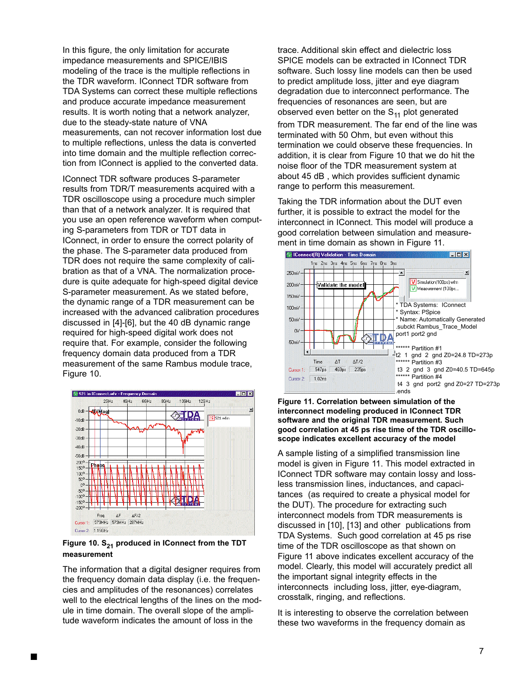In this figure, the only limitation for accurate impedance measurements and SPICE/IBIS modeling of the trace is the multiple reflections in the TDR waveform. IConnect TDR software from TDA Systems can correct these multiple reflections and produce accurate impedance measurement results. It is worth noting that a network analyzer, due to the steady-state nature of VNA measurements, can not recover information lost due to multiple reflections, unless the data is converted into time domain and the multiple reflection correction from IConnect is applied to the converted data.

IConnect TDR software produces S-parameter results from TDR/T measurements acquired with a TDR oscilloscope using a procedure much simpler than that of a network analyzer. It is required that you use an open reference waveform when computing S-parameters from TDR or TDT data in IConnect, in order to ensure the correct polarity of the phase. The S-parameter data produced from TDR does not require the same complexity of calibration as that of a VNA. The normalization procedure is quite adequate for high-speed digital device S-parameter measurement. As we stated before, the dynamic range of a TDR measurement can be increased with the advanced calibration procedures discussed in [4]-[6], but the 40 dB dynamic range required for high-speed digital work does not require that. For example, consider the following frequency domain data produced from a TDR measurement of the same Rambus module trace, Figure 10.



#### Figure 10. S<sub>21</sub> produced in IConnect from the TDT **measurement**

The information that a digital designer requires from the frequency domain data display (i.e. the frequencies and amplitudes of the resonances) correlates well to the electrical lengths of the lines on the module in time domain. The overall slope of the amplitude waveform indicates the amount of loss in the

trace. Additional skin effect and dielectric loss SPICE models can be extracted in IConnect TDR software. Such lossy line models can then be used to predict amplitude loss, jitter and eye diagram degradation due to interconnect performance. The frequencies of resonances are seen, but are observed even better on the  $S_{11}$  plot generated

from TDR measurement. The far end of the line was terminated with 50 Ohm, but even without this termination we could observe these frequencies. In addition, it is clear from Figure 10 that we do hit the noise floor of the TDR measurement system at about 45 dB , which provides sufficient dynamic range to perform this measurement.

Taking the TDR information about the DUT even further, it is possible to extract the model for the interconnect in IConnect. This model will produce a good correlation between simulation and measurement in time domain as shown in Figure 11.



#### **Figure 11. Correlation between simulation of the interconnect modeling produced in IConnect TDR software and the original TDR measurement. Such good correlation at 45 ps rise time of the TDR oscilloscope indicates excellent accuracy of the model**

A sample listing of a simplified transmission line model is given in Figure 11. This model extracted in IConnect TDR software may contain lossy and lossless transmission lines, inductances, and capacitances (as required to create a physical model for the DUT). The procedure for extracting such interconnect models from TDR measurements is discussed in [10], [13] and other publications from TDA Systems. Such good correlation at 45 ps rise time of the TDR oscilloscope as that shown on Figure 11 above indicates excellent accuracy of the model. Clearly, this model will accurately predict all the important signal integrity effects in the interconnects including loss, jitter, eye-diagram, crosstalk, ringing, and reflections.

It is interesting to observe the correlation between these two waveforms in the frequency domain as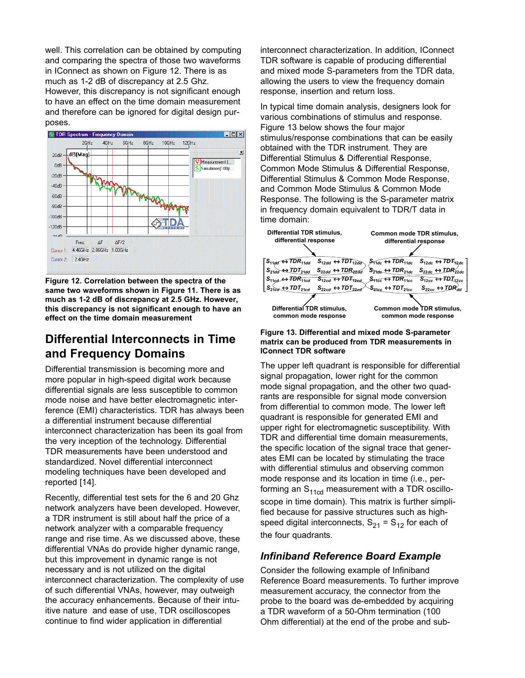well. This correlation can be obtained by computing and comparing the spectra of those two waveforms in IConnect as shown on Figure 12. There is as much as 1-2 dB of discrepancy at 2.5 Ghz. However, this discrepancy is not significant enough to have an effect on the time domain measurement and therefore can be ignored for digital design purposes.



**Figure 12. Correlation between the spectra of the same two waveforms shown in Figure 11. There is as much as 1-2 dB of discrepancy at 2.5 GHz. However, this discrepancy is not significant enough to have an effect on the time domain measurement**

### **Differential Interconnects in Time and Frequency Domains**

Differential transmission is becoming more and more popular in high-speed digital work because differential signals are less susceptible to common mode noise and have better electromagnetic interference (EMI) characteristics. TDR has always been a differential instrument because differential interconnect characterization has been its goal from the very inception of the technology. Differential TDR measurements have been understood and standardized. Novel differential interconnect modeling techniques have been developed and reported [14].

Recently, differential test sets for the 6 and 20 Ghz network analyzers have been developed. However, a TDR instrument is still about half the price of a network analyzer with a comparable frequency range and rise time. As we discussed above, these differential VNAs do provide higher dynamic range, but this improvement in dynamic range is not necessary and is not utilized on the digital interconnect characterization. The complexity of use of such differential VNAs, however, may outweigh the accuracy enhancements. Because of their intuitive nature and ease of use, TDR oscilloscopes continue to find wider application in differential

interconnect characterization. In addition, IConnect TDR software is capable of producing differential and mixed mode S-parameters from the TDR data, allowing the users to view the frequency domain response, insertion and return loss.

In typical time domain analysis, designers look for various combinations of stimulus and response. Figure 13 below shows the four major stimulus/response combinations that can be easily obtained with the TDR instrument. They are Differential Stimulus & Differential Response, Common Mode Stimulus & Differential Response, Differential Stimulus & Common Mode Response, and Common Mode Stimulus & Common Mode Response. The following is the S-parameter matrix in frequency domain equivalent to TDR/T data in time domain:



#### **Figure 13. Differential and mixed mode S-parameter matrix can be produced from TDR measurements in IConnect TDR software**

The upper left quadrant is responsible for differential signal propagation, lower right for the common mode signal propagation, and the other two quadrants are responsible for signal mode conversion from differential to common mode. The lower left quadrant is responsible for generated EMI and upper right for electromagnetic susceptibility. With TDR and differential time domain measurements, the specific location of the signal trace that generates EMI can be located by stimulating the trace with differential stimulus and observing common mode response and its location in time (i.e., performing an  $S_{11cd}$  measurement with a TDR oscilloscope in time domain). This matrix is further simplified because for passive structures such as highspeed digital interconnects,  $S_{21} = S_{12}$  for each of the four quadrants.

### *Infiniband Reference Board Example*

Consider the following example of Infiniband Reference Board measurements. To further improve measurement accuracy, the connector from the probe to the board was de-embedded by acquiring a TDR waveform of a 50-Ohm termination (100 Ohm differential) at the end of the probe and sub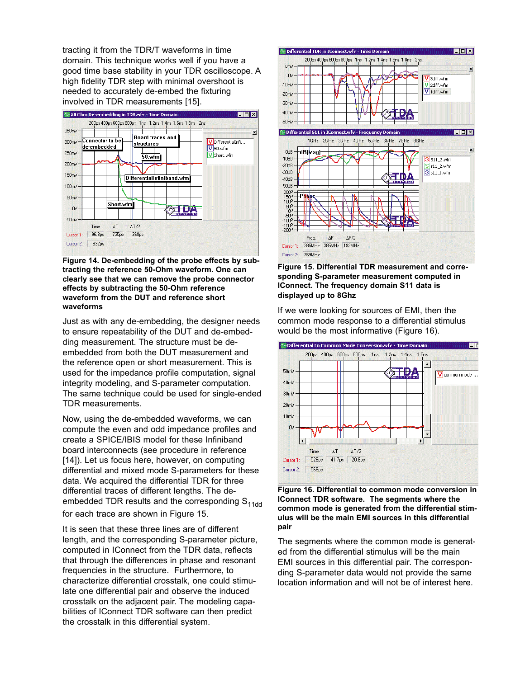tracting it from the TDR/T waveforms in time domain. This technique works well if you have a good time base stability in your TDR oscilloscope. A high fidelity TDR step with minimal overshoot is needed to accurately de-embed the fixturing involved in TDR measurements [15].



**Figure 14. De-embedding of the probe effects by subtracting the reference 50-Ohm waveform. One can clearly see that we can remove the probe connector effects by subtracting the 50-Ohm reference waveform from the DUT and reference short waveforms**

Just as with any de-embedding, the designer needs to ensure repeatability of the DUT and de-embedding measurement. The structure must be deembedded from both the DUT measurement and the reference open or short measurement. This is used for the impedance profile computation, signal integrity modeling, and S-parameter computation. The same technique could be used for single-ended TDR measurements.

Now, using the de-embedded waveforms, we can compute the even and odd impedance profiles and create a SPICE/IBIS model for these Infiniband board interconnects (see procedure in reference [14]). Let us focus here, however, on computing differential and mixed mode S-parameters for these data. We acquired the differential TDR for three differential traces of different lengths. The deembedded TDR results and the corresponding  $S<sub>11dd</sub>$ for each trace are shown in Figure 15.

It is seen that these three lines are of different length, and the corresponding S-parameter picture, computed in IConnect from the TDR data, reflects that through the differences in phase and resonant frequencies in the structure. Furthermore, to characterize differential crosstalk, one could stimulate one differential pair and observe the induced crosstalk on the adjacent pair. The modeling capabilities of IConnect TDR software can then predict the crosstalk in this differential system.



**Figure 15. Differential TDR measurement and corresponding S-parameter measurement computed in IConnect. The frequency domain S11 data is displayed up to 8Ghz**

If we were looking for sources of EMI, then the common mode response to a differential stimulus would be the most informative (Figure 16).





The segments where the common mode is generated from the differential stimulus will be the main EMI sources in this differential pair. The corresponding S-parameter data would not provide the same location information and will not be of interest here.